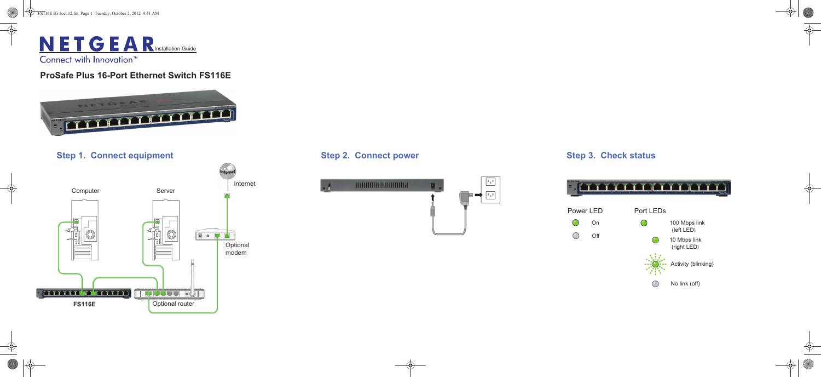

### **ProSafe Plus 16-Port Ethernet Switch FS116E**





### **Step 2. Connect power Step 3. Check status**